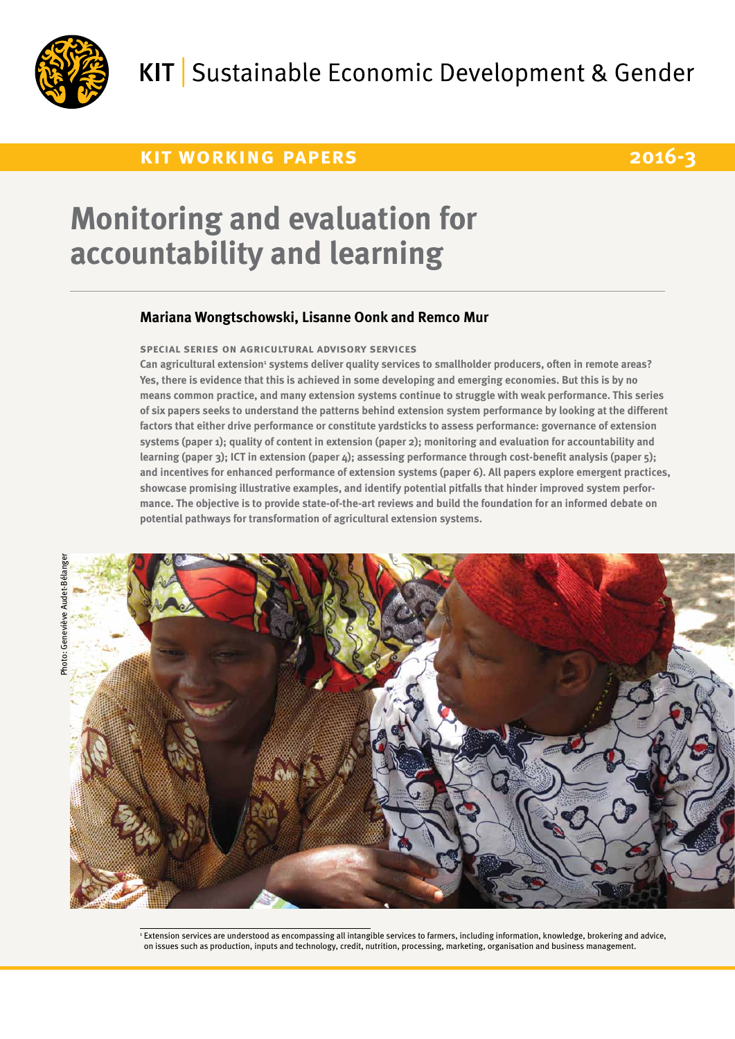

## **kit working papers 2016-3**

# **Monitoring and evaluation for accountability and learning**

### **Mariana Wongtschowski, Lisanne Oonk and Remco Mur**

#### **special series on agricultural advisory services**

Can agricultural extension<sup>1</sup> systems deliver quality services to smallholder producers, often in remote areas? **Yes, there is evidence that this is achieved in some developing and emerging economies. But this is by no means common practice, and many extension systems continue to struggle with weak performance. This series of six papers seeks to understand the patterns behind extension system performance by looking at the different factors that either drive performance or constitute yardsticks to assess performance: governance of extension systems (paper 1); quality of content in extension (paper 2); monitoring and evaluation for accountability and learning (paper 3); ICT in extension (paper 4); assessing performance through cost-benefit analysis (paper 5); and incentives for enhanced performance of extension systems (paper 6). All papers explore emergent practices, showcase promising illustrative examples, and identify potential pitfalls that hinder improved system performance. The objective is to provide state-of-the-art reviews and build the foundation for an informed debate on potential pathways for transformation of agricultural extension systems.**



<sup>1</sup> Extension services are understood as encompassing all intangible services to farmers, including information, knowledge, brokering and advice, on issues such as production, inputs and technology, credit, nutrition, processing, marketing, organisation and business management.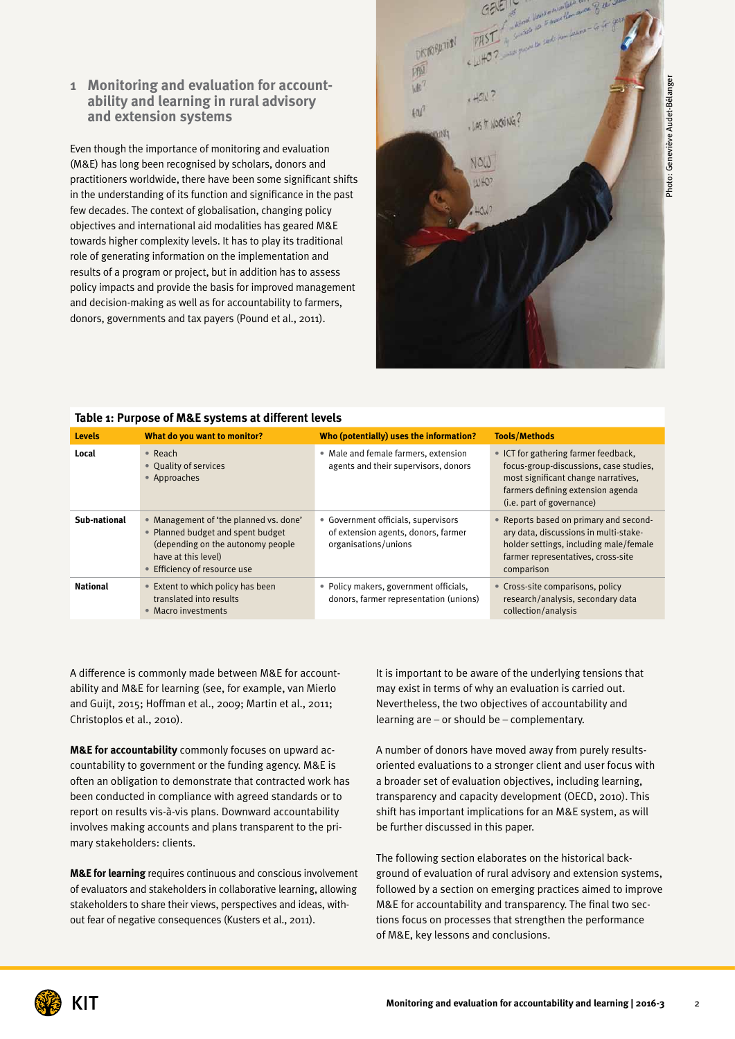#### **1 Monitoring and evaluation for accountability and learning in rural advisory and extension systems**

Even though the importance of monitoring and evaluation (M&E) has long been recognised by scholars, donors and practitioners worldwide, there have been some significant shifts in the understanding of its function and significance in the past few decades. The context of globalisation, changing policy objectives and international aid modalities has geared M&E towards higher complexity levels. It has to play its traditional role of generating information on the implementation and results of a program or project, but in addition has to assess policy impacts and provide the basis for improved management and decision-making as well as for accountability to farmers, donors, governments and tax payers (Pound et al., 2011).



#### **Table 1: Purpose of M&E systems at different levels**

| <b>Levels</b>   | What do you want to monitor?                                                                                                                                                 | Who (potentially) uses the information?                                                            | <b>Tools/Methods</b>                                                                                                                                                                    |
|-----------------|------------------------------------------------------------------------------------------------------------------------------------------------------------------------------|----------------------------------------------------------------------------------------------------|-----------------------------------------------------------------------------------------------------------------------------------------------------------------------------------------|
| Local           | $\bullet$ Reach<br>• Quality of services<br>• Approaches                                                                                                                     | • Male and female farmers, extension<br>agents and their supervisors, donors                       | • ICT for gathering farmer feedback,<br>focus-group-discussions, case studies,<br>most significant change narratives,<br>farmers defining extension agenda<br>(i.e. part of governance) |
| Sub-national    | • Management of 'the planned vs. done'<br>• Planned budget and spent budget<br>(depending on the autonomy people<br>have at this level)<br><b>Efficiency of resource use</b> | • Government officials, supervisors<br>of extension agents, donors, farmer<br>organisations/unions | • Reports based on primary and second-<br>ary data, discussions in multi-stake-<br>holder settings, including male/female<br>farmer representatives, cross-site<br>comparison           |
| <b>National</b> | • Extent to which policy has been<br>translated into results<br>• Macro investments                                                                                          | • Policy makers, government officials,<br>donors, farmer representation (unions)                   | • Cross-site comparisons, policy<br>research/analysis, secondary data<br>collection/analysis                                                                                            |

A difference is commonly made between M&E for accountability and M&E for learning (see, for example, van Mierlo and Guijt, 2015; Hoffman et al., 2009; Martin et al., 2011; Christoplos et al., 2010).

**M&E for accountability** commonly focuses on upward accountability to government or the funding agency. M&E is often an obligation to demonstrate that contracted work has been conducted in compliance with agreed standards or to report on results vis-à-vis plans. Downward accountability involves making accounts and plans transparent to the primary stakeholders: clients.

**M&E for learning** requires continuous and conscious involvement of evaluators and stakeholders in collaborative learning, allowing stakeholders to share their views, perspectives and ideas, without fear of negative consequences (Kusters et al., 2011).

It is important to be aware of the underlying tensions that may exist in terms of why an evaluation is carried out. Nevertheless, the two objectives of accountability and learning are – or should be – complementary.

A number of donors have moved away from purely resultsoriented evaluations to a stronger client and user focus with a broader set of evaluation objectives, including learning, transparency and capacity development (OECD, 2010). This shift has important implications for an M&E system, as will be further discussed in this paper.

The following section elaborates on the historical background of evaluation of rural advisory and extension systems, followed by a section on emerging practices aimed to improve M&E for accountability and transparency. The final two sections focus on processes that strengthen the performance of M&E, key lessons and conclusions.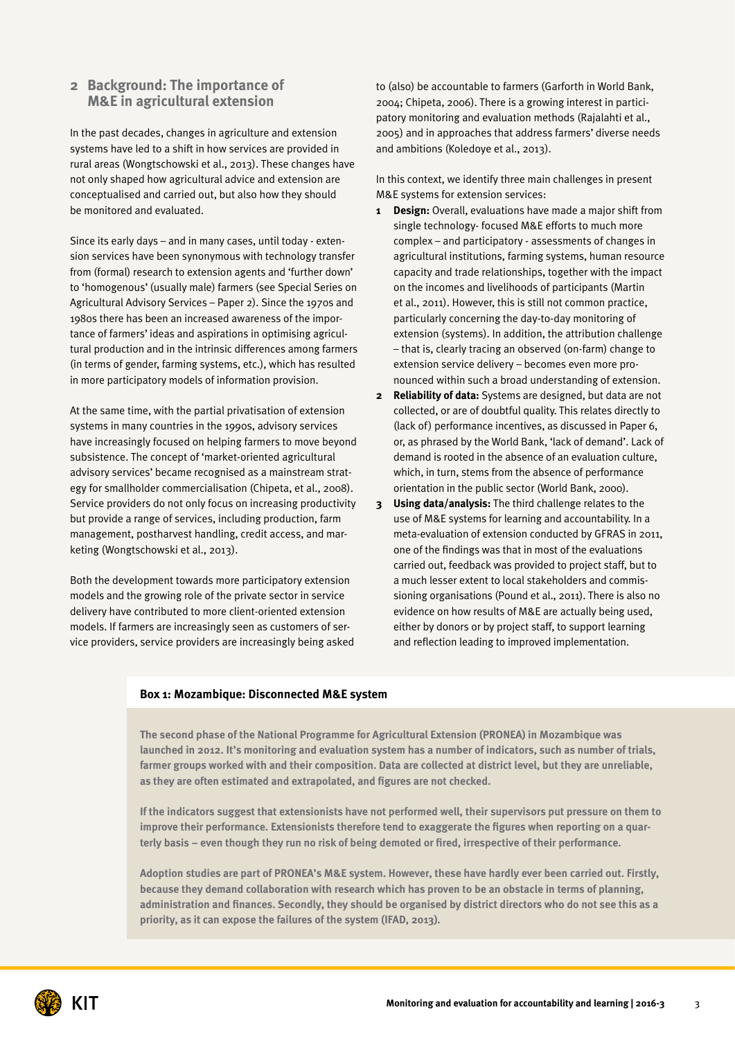#### **2 Background: The importance of M&E in agricultural extension**

In the past decades, changes in agriculture and extension systems have led to a shift in how services are provided in rural areas (Wongtschowski et al., 2013). These changes have not only shaped how agricultural advice and extension are conceptualised and carried out, but also how they should be monitored and evaluated.

Since its early days – and in many cases, until today - extension services have been synonymous with technology transfer from (formal) research to extension agents and 'further down' to 'homogenous' (usually male) farmers (see Special Series on Agricultural Advisory Services – Paper 2). Since the 1970s and 1980s there has been an increased awareness of the importance of farmers' ideas and aspirations in optimising agricultural production and in the intrinsic differences among farmers (in terms of gender, farming systems, etc.), which has resulted in more participatory models of information provision.

At the same time, with the partial privatisation of extension systems in many countries in the 1990s, advisory services have increasingly focused on helping farmers to move beyond subsistence. The concept of 'market-oriented agricultural advisory services' became recognised as a mainstream strategy for smallholder commercialisation (Chipeta, et al., 2008). Service providers do not only focus on increasing productivity but provide a range of services, including production, farm management, postharvest handling, credit access, and marketing (Wongtschowski et al., 2013).

Both the development towards more participatory extension models and the growing role of the private sector in service delivery have contributed to more client-oriented extension models. If farmers are increasingly seen as customers of service providers, service providers are increasingly being asked to (also) be accountable to farmers (Garforth in World Bank, 2004; Chipeta, 2006). There is a growing interest in participatory monitoring and evaluation methods (Rajalahti et al., 2005) and in approaches that address farmers' diverse needs and ambitions (Koledoye et al., 2013).

In this context, we identify three main challenges in present M&E systems for extension services:

- **1 Design:** Overall, evaluations have made a major shift from single technology- focused M&E efforts to much more complex – and participatory - assessments of changes in agricultural institutions, farming systems, human resource capacity and trade relationships, together with the impact on the incomes and livelihoods of participants (Martin et al., 2011). However, this is still not common practice, particularly concerning the day-to-day monitoring of extension (systems). In addition, the attribution challenge – that is, clearly tracing an observed (on-farm) change to extension service delivery – becomes even more pronounced within such a broad understanding of extension.
- **2 Reliability of data:** Systems are designed, but data are not collected, or are of doubtful quality. This relates directly to (lack of) performance incentives, as discussed in Paper 6, or, as phrased by the World Bank, 'lack of demand'. Lack of demand is rooted in the absence of an evaluation culture, which, in turn, stems from the absence of performance orientation in the public sector (World Bank, 2000).
- **3 Using data/analysis:** The third challenge relates to the use of M&E systems for learning and accountability. In a meta-evaluation of extension conducted by GFRAS in 2011, one of the findings was that in most of the evaluations carried out, feedback was provided to project staff, but to a much lesser extent to local stakeholders and commissioning organisations (Pound et al., 2011). There is also no evidence on how results of M&E are actually being used, either by donors or by project staff, to support learning and reflection leading to improved implementation.

#### **Box 1: Mozambique: Disconnected M&E system**

**The second phase of the National Programme for Agricultural Extension (PRONEA) in Mozambique was launched in 2012. It's monitoring and evaluation system has a number of indicators, such as number of trials, farmer groups worked with and their composition. Data are collected at district level, but they are unreliable, as they are often estimated and extrapolated, and figures are not checked.**

**If the indicators suggest that extensionists have not performed well, their supervisors put pressure on them to improve their performance. Extensionists therefore tend to exaggerate the figures when reporting on a quarterly basis – even though they run no risk of being demoted or fired, irrespective of their performance.**

**Adoption studies are part of PRONEA's M&E system. However, these have hardly ever been carried out. Firstly, because they demand collaboration with research which has proven to be an obstacle in terms of planning, administration and finances. Secondly, they should be organised by district directors who do not see this as a priority, as it can expose the failures of the system (IFAD, 2013).**

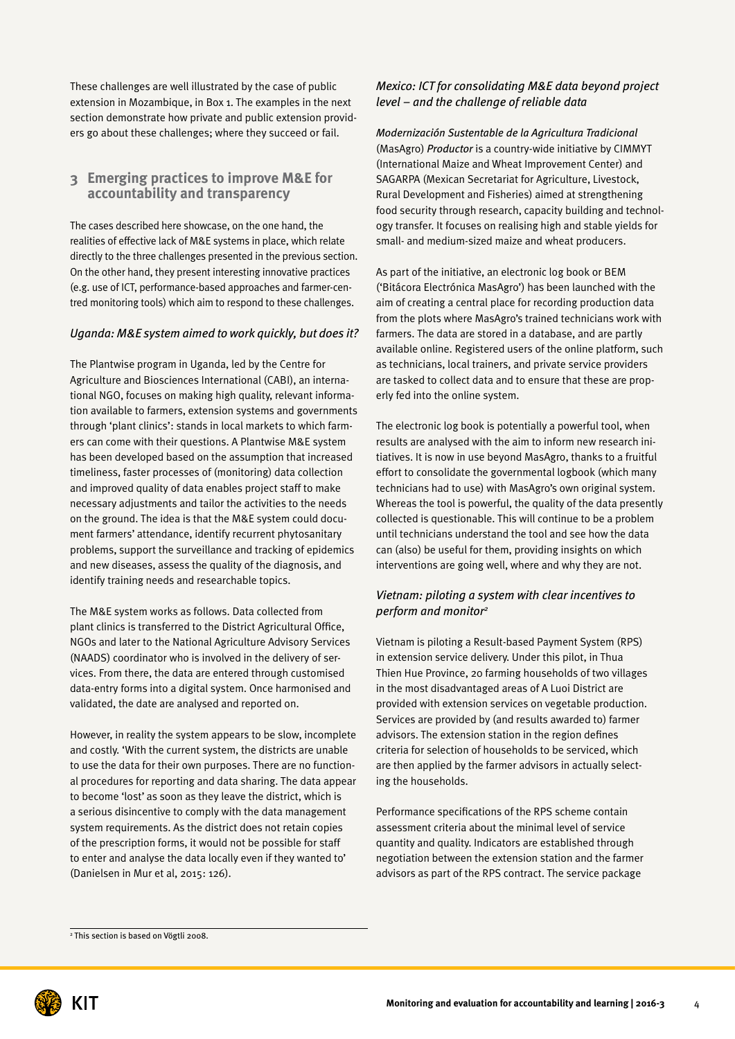These challenges are well illustrated by the case of public extension in Mozambique, in Box 1. The examples in the next section demonstrate how private and public extension providers go about these challenges; where they succeed or fail.

#### **3 Emerging practices to improve M&E for accountability and transparency**

The cases described here showcase, on the one hand, the realities of effective lack of M&E systems in place, which relate directly to the three challenges presented in the previous section. On the other hand, they present interesting innovative practices (e.g. use of ICT, performance-based approaches and farmer-centred monitoring tools) which aim to respond to these challenges.

#### *Uganda: M&E system aimed to work quickly, but does it?*

The Plantwise program in Uganda, led by the Centre for Agriculture and Biosciences International (CABI), an international NGO, focuses on making high quality, relevant information available to farmers, extension systems and governments through 'plant clinics': stands in local markets to which farmers can come with their questions. A Plantwise M&E system has been developed based on the assumption that increased timeliness, faster processes of (monitoring) data collection and improved quality of data enables project staff to make necessary adjustments and tailor the activities to the needs on the ground. The idea is that the M&E system could document farmers' attendance, identify recurrent phytosanitary problems, support the surveillance and tracking of epidemics and new diseases, assess the quality of the diagnosis, and identify training needs and researchable topics.

The M&E system works as follows. Data collected from plant clinics is transferred to the District Agricultural Office, NGOs and later to the National Agriculture Advisory Services (NAADS) coordinator who is involved in the delivery of services. From there, the data are entered through customised data-entry forms into a digital system. Once harmonised and validated, the date are analysed and reported on.

However, in reality the system appears to be slow, incomplete and costly. 'With the current system, the districts are unable to use the data for their own purposes. There are no functional procedures for reporting and data sharing. The data appear to become 'lost' as soon as they leave the district, which is a serious disincentive to comply with the data management system requirements. As the district does not retain copies of the prescription forms, it would not be possible for staff to enter and analyse the data locally even if they wanted to' (Danielsen in Mur et al, 2015: 126).

#### *Mexico: ICT for consolidating M&E data beyond project level – and the challenge of reliable data*

*Modernización Sustentable de la Agricultura Tradicional* (MasAgro) *Productor* is a country-wide initiative by CIMMYT (International Maize and Wheat Improvement Center) and SAGARPA (Mexican Secretariat for Agriculture, Livestock, Rural Development and Fisheries) aimed at strengthening food security through research, capacity building and technology transfer. It focuses on realising high and stable yields for small- and medium-sized maize and wheat producers.

As part of the initiative, an electronic log book or BEM ('Bitácora Electrónica MasAgro') has been launched with the aim of creating a central place for recording production data from the plots where MasAgro's trained technicians work with farmers. The data are stored in a database, and are partly available online. Registered users of the online platform, such as technicians, local trainers, and private service providers are tasked to collect data and to ensure that these are properly fed into the online system.

The electronic log book is potentially a powerful tool, when results are analysed with the aim to inform new research initiatives. It is now in use beyond MasAgro, thanks to a fruitful effort to consolidate the governmental logbook (which many technicians had to use) with MasAgro's own original system. Whereas the tool is powerful, the quality of the data presently collected is questionable. This will continue to be a problem until technicians understand the tool and see how the data can (also) be useful for them, providing insights on which interventions are going well, where and why they are not.

#### *Vietnam: piloting a system with clear incentives to perform and monitor2*

Vietnam is piloting a Result-based Payment System (RPS) in extension service delivery. Under this pilot, in Thua Thien Hue Province, 20 farming households of two villages in the most disadvantaged areas of A Luoi District are provided with extension services on vegetable production. Services are provided by (and results awarded to) farmer advisors. The extension station in the region defines criteria for selection of households to be serviced, which are then applied by the farmer advisors in actually selecting the households.

Performance specifications of the RPS scheme contain assessment criteria about the minimal level of service quantity and quality. Indicators are established through negotiation between the extension station and the farmer advisors as part of the RPS contract. The service package

<sup>2</sup> This section is based on Vögtli 2008.

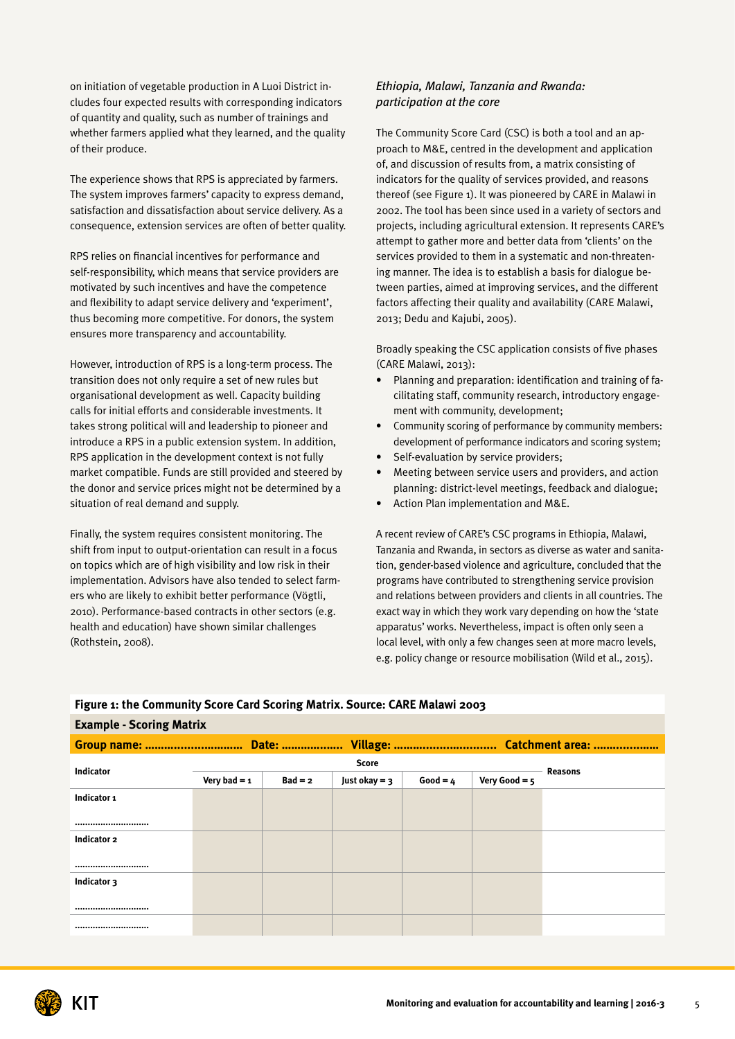on initiation of vegetable production in A Luoi District includes four expected results with corresponding indicators of quantity and quality, such as number of trainings and whether farmers applied what they learned, and the quality of their produce.

The experience shows that RPS is appreciated by farmers. The system improves farmers' capacity to express demand, satisfaction and dissatisfaction about service delivery. As a consequence, extension services are often of better quality.

RPS relies on financial incentives for performance and self-responsibility, which means that service providers are motivated by such incentives and have the competence and flexibility to adapt service delivery and 'experiment', thus becoming more competitive. For donors, the system ensures more transparency and accountability.

However, introduction of RPS is a long-term process. The transition does not only require a set of new rules but organisational development as well. Capacity building calls for initial efforts and considerable investments. It takes strong political will and leadership to pioneer and introduce a RPS in a public extension system. In addition, RPS application in the development context is not fully market compatible. Funds are still provided and steered by the donor and service prices might not be determined by a situation of real demand and supply.

Finally, the system requires consistent monitoring. The shift from input to output-orientation can result in a focus on topics which are of high visibility and low risk in their implementation. Advisors have also tended to select farmers who are likely to exhibit better performance (Vögtli, 2010). Performance-based contracts in other sectors (e.g. health and education) have shown similar challenges (Rothstein, 2008).

**Example - Scoring Matrix**

#### *Ethiopia, Malawi, Tanzania and Rwanda: participation at the core*

The Community Score Card (CSC) is both a tool and an approach to M&E, centred in the development and application of, and discussion of results from, a matrix consisting of indicators for the quality of services provided, and reasons thereof (see Figure 1). It was pioneered by CARE in Malawi in 2002. The tool has been since used in a variety of sectors and projects, including agricultural extension. It represents CARE's attempt to gather more and better data from 'clients' on the services provided to them in a systematic and non-threatening manner. The idea is to establish a basis for dialogue between parties, aimed at improving services, and the different factors affecting their quality and availability (CARE Malawi, 2013; Dedu and Kajubi, 2005).

Broadly speaking the CSC application consists of five phases (CARE Malawi, 2013):

- Planning and preparation: identification and training of facilitating staff, community research, introductory engagement with community, development;
- Community scoring of performance by community members: development of performance indicators and scoring system; Self-evaluation by service providers;
- 
- Meeting between service users and providers, and action planning: district-level meetings, feedback and dialogue;
- Action Plan implementation and M&E.

A recent review of CARE's CSC programs in Ethiopia, Malawi, Tanzania and Rwanda, in sectors as diverse as water and sanitation, gender-based violence and agriculture, concluded that the programs have contributed to strengthening service provision and relations between providers and clients in all countries. The exact way in which they work vary depending on how the 'state apparatus' works. Nevertheless, impact is often only seen a local level, with only a few changes seen at more macro levels, e.g. policy change or resource mobilisation (Wild et al., 2015).

| Group name:  Date:  Village:  Catchment area: |                |           |                 |            |                 |  |
|-----------------------------------------------|----------------|-----------|-----------------|------------|-----------------|--|
| Indicator                                     | <b>Score</b>   |           |                 |            | <b>Reasons</b>  |  |
|                                               | Very bad = $1$ | $Bad = 2$ | Just okay = $3$ | $Good = 4$ | Very Good = $5$ |  |
| Indicator 1                                   |                |           |                 |            |                 |  |
|                                               |                |           |                 |            |                 |  |
| <br>Indicator 2                               |                |           |                 |            |                 |  |
|                                               |                |           |                 |            |                 |  |
|                                               |                |           |                 |            |                 |  |
| Indicator 3                                   |                |           |                 |            |                 |  |
|                                               |                |           |                 |            |                 |  |
|                                               |                |           |                 |            |                 |  |
|                                               |                |           |                 |            |                 |  |

### **Figure 1: the Community Score Card Scoring Matrix. Source: CARE Malawi 2003**

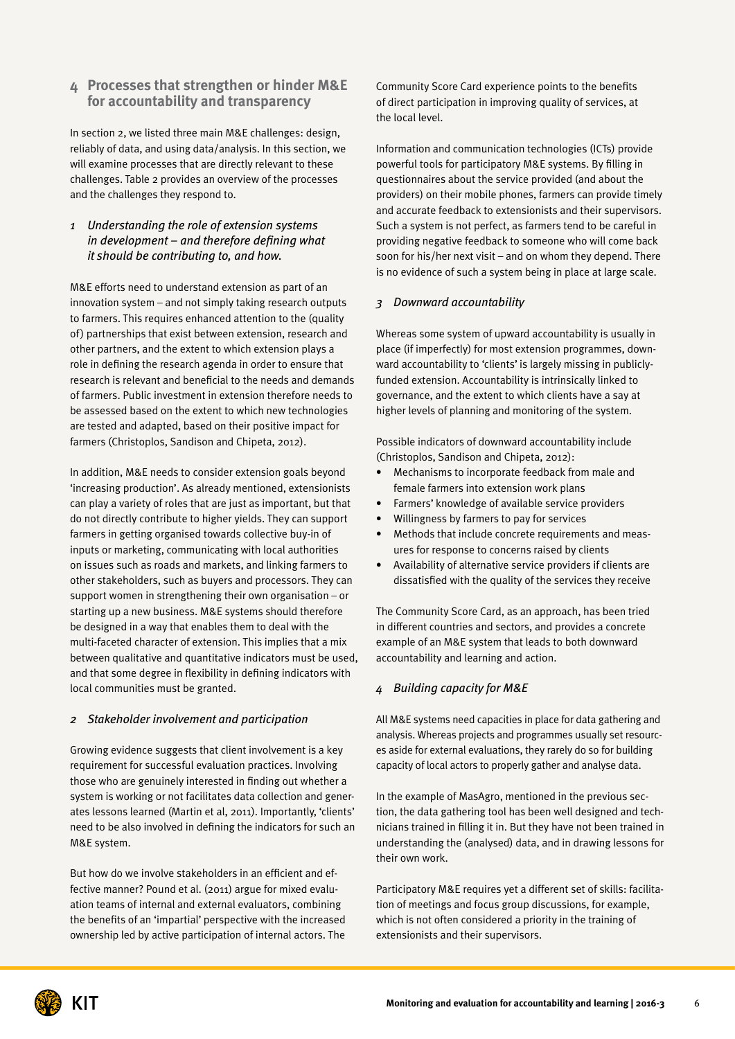#### **4 Processes that strengthen or hinder M&E for accountability and transparency**

In section 2, we listed three main M&E challenges: design, reliably of data, and using data/analysis. In this section, we will examine processes that are directly relevant to these challenges. Table 2 provides an overview of the processes and the challenges they respond to.

#### *1 Understanding the role of extension systems in development – and therefore defining what it should be contributing to, and how.*

M&E efforts need to understand extension as part of an innovation system – and not simply taking research outputs to farmers. This requires enhanced attention to the (quality of) partnerships that exist between extension, research and other partners, and the extent to which extension plays a role in defining the research agenda in order to ensure that research is relevant and beneficial to the needs and demands of farmers. Public investment in extension therefore needs to be assessed based on the extent to which new technologies are tested and adapted, based on their positive impact for farmers (Christoplos, Sandison and Chipeta, 2012).

In addition, M&E needs to consider extension goals beyond 'increasing production'. As already mentioned, extensionists can play a variety of roles that are just as important, but that do not directly contribute to higher yields. They can support farmers in getting organised towards collective buy-in of inputs or marketing, communicating with local authorities on issues such as roads and markets, and linking farmers to other stakeholders, such as buyers and processors. They can support women in strengthening their own organisation – or starting up a new business. M&E systems should therefore be designed in a way that enables them to deal with the multi-faceted character of extension. This implies that a mix between qualitative and quantitative indicators must be used, and that some degree in flexibility in defining indicators with local communities must be granted.

#### *2 Stakeholder involvement and participation*

Growing evidence suggests that client involvement is a key requirement for successful evaluation practices. Involving those who are genuinely interested in finding out whether a system is working or not facilitates data collection and generates lessons learned (Martin et al, 2011). Importantly, 'clients' need to be also involved in defining the indicators for such an M&E system.

But how do we involve stakeholders in an efficient and effective manner? Pound et al. (2011) argue for mixed evaluation teams of internal and external evaluators, combining the benefits of an 'impartial' perspective with the increased ownership led by active participation of internal actors. The

Community Score Card experience points to the benefits of direct participation in improving quality of services, at the local level.

Information and communication technologies (ICTs) provide powerful tools for participatory M&E systems. By filling in questionnaires about the service provided (and about the providers) on their mobile phones, farmers can provide timely and accurate feedback to extensionists and their supervisors. Such a system is not perfect, as farmers tend to be careful in providing negative feedback to someone who will come back soon for his/her next visit – and on whom they depend. There is no evidence of such a system being in place at large scale.

#### *3 Downward accountability*

Whereas some system of upward accountability is usually in place (if imperfectly) for most extension programmes, downward accountability to 'clients' is largely missing in publiclyfunded extension. Accountability is intrinsically linked to governance, and the extent to which clients have a say at higher levels of planning and monitoring of the system.

Possible indicators of downward accountability include (Christoplos, Sandison and Chipeta, 2012):

- Mechanisms to incorporate feedback from male and female farmers into extension work plans
- Farmers' knowledge of available service providers
- Willingness by farmers to pay for services
- Methods that include concrete requirements and measures for response to concerns raised by clients
- Availability of alternative service providers if clients are dissatisfied with the quality of the services they receive

The Community Score Card, as an approach, has been tried in different countries and sectors, and provides a concrete example of an M&E system that leads to both downward accountability and learning and action.

#### *4 Building capacity for M&E*

All M&E systems need capacities in place for data gathering and analysis. Whereas projects and programmes usually set resources aside for external evaluations, they rarely do so for building capacity of local actors to properly gather and analyse data.

In the example of MasAgro, mentioned in the previous section, the data gathering tool has been well designed and technicians trained in filling it in. But they have not been trained in understanding the (analysed) data, and in drawing lessons for their own work.

Participatory M&E requires yet a different set of skills: facilitation of meetings and focus group discussions, for example, which is not often considered a priority in the training of extensionists and their supervisors.

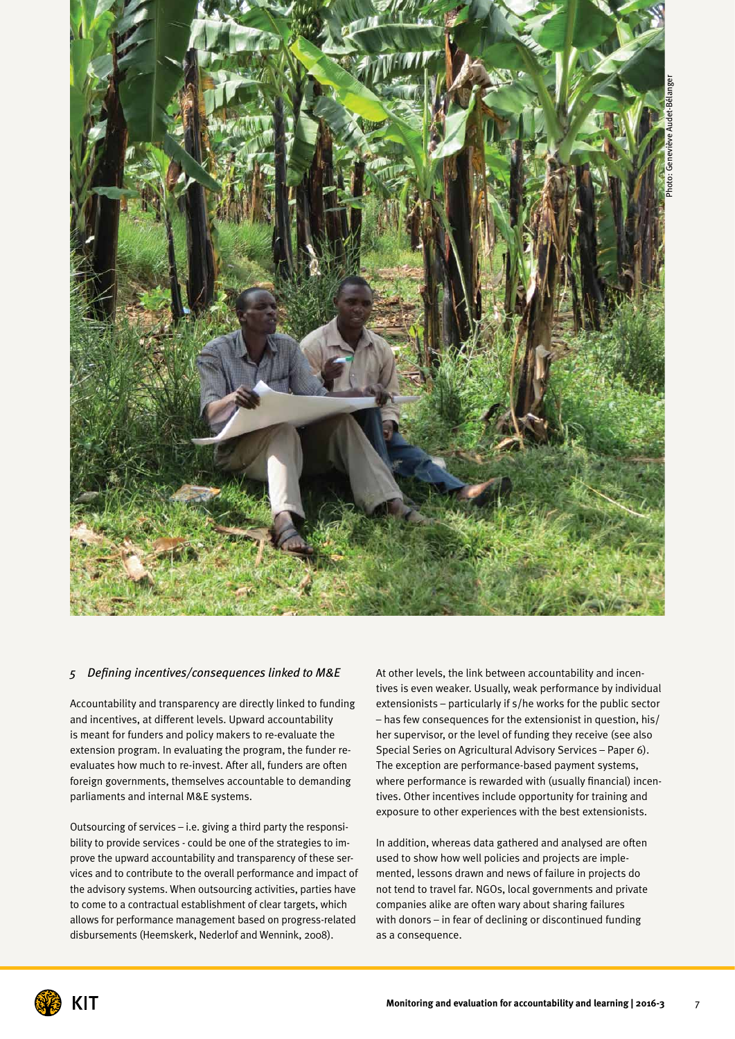

#### *5 Defining incentives/consequences linked to M&E*

Accountability and transparency are directly linked to funding and incentives, at different levels. Upward accountability is meant for funders and policy makers to re-evaluate the extension program. In evaluating the program, the funder reevaluates how much to re-invest. After all, funders are often foreign governments, themselves accountable to demanding parliaments and internal M&E systems.

Outsourcing of services – i.e. giving a third party the responsibility to provide services - could be one of the strategies to improve the upward accountability and transparency of these services and to contribute to the overall performance and impact of the advisory systems. When outsourcing activities, parties have to come to a contractual establishment of clear targets, which allows for performance management based on progress-related disbursements (Heemskerk, Nederlof and Wennink, 2008).

At other levels, the link between accountability and incentives is even weaker. Usually, weak performance by individual extensionists – particularly if s/he works for the public sector – has few consequences for the extensionist in question, his/ her supervisor, or the level of funding they receive (see also Special Series on Agricultural Advisory Services – Paper 6). The exception are performance-based payment systems, where performance is rewarded with (usually financial) incentives. Other incentives include opportunity for training and exposure to other experiences with the best extensionists.

In addition, whereas data gathered and analysed are often used to show how well policies and projects are implemented, lessons drawn and news of failure in projects do not tend to travel far. NGOs, local governments and private companies alike are often wary about sharing failures with donors – in fear of declining or discontinued funding as a consequence.

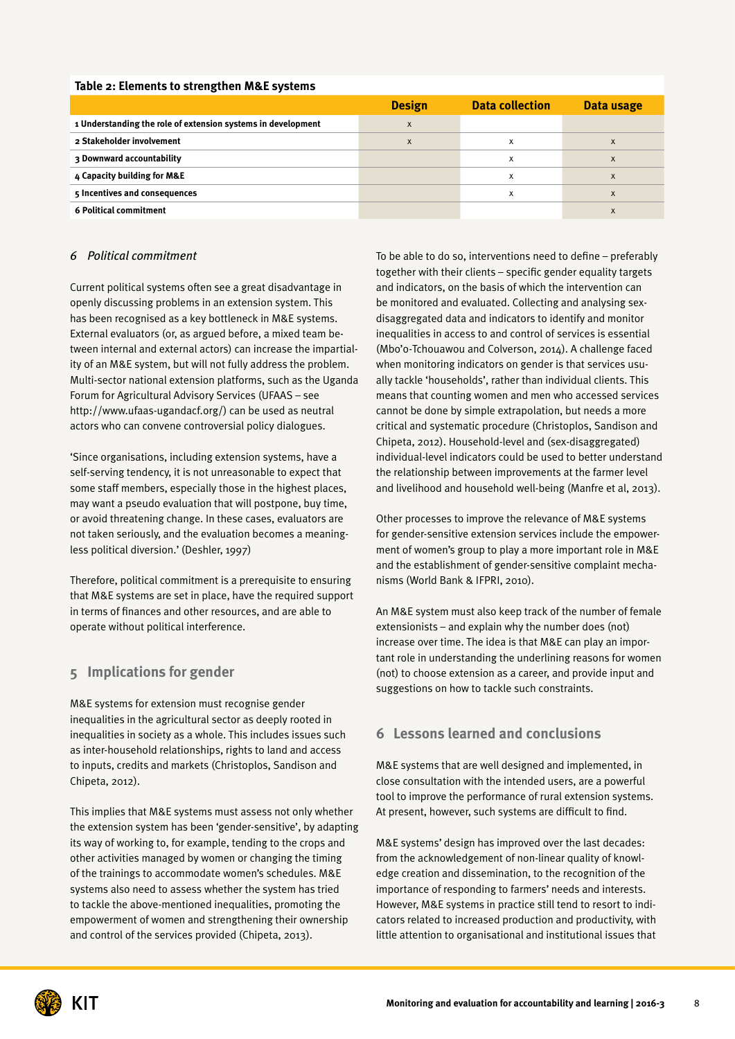#### **Table 2: Elements to strengthen M&E systems**

|                                                              | <b>Design</b> | <b>Data collection</b> | Data usage |
|--------------------------------------------------------------|---------------|------------------------|------------|
| 1 Understanding the role of extension systems in development | X             |                        |            |
| 2 Stakeholder involvement                                    | X             | x                      | X          |
| 3 Downward accountability                                    |               | x                      | X          |
| 4 Capacity building for M&E                                  |               | X                      | X          |
| 5 Incentives and consequences                                |               | X                      | X          |
| <b>6 Political commitment</b>                                |               |                        | X          |

#### *6 Political commitment*

Current political systems often see a great disadvantage in openly discussing problems in an extension system. This has been recognised as a key bottleneck in M&E systems. External evaluators (or, as argued before, a mixed team between internal and external actors) can increase the impartiality of an M&E system, but will not fully address the problem. Multi-sector national extension platforms, such as the Uganda Forum for Agricultural Advisory Services (UFAAS – see [http://www.ufaas-ugandacf.org/\)](http://www.ufaas-ugandacf.org/) can be used as neutral actors who can convene controversial policy dialogues.

'Since organisations, including extension systems, have a self-serving tendency, it is not unreasonable to expect that some staff members, especially those in the highest places, may want a pseudo evaluation that will postpone, buy time, or avoid threatening change. In these cases, evaluators are not taken seriously, and the evaluation becomes a meaningless political diversion.' (Deshler, 1997)

Therefore, political commitment is a prerequisite to ensuring that M&E systems are set in place, have the required support in terms of finances and other resources, and are able to operate without political interference.

#### **5 Implications for gender**

M&E systems for extension must recognise gender inequalities in the agricultural sector as deeply rooted in inequalities in society as a whole. This includes issues such as inter-household relationships, rights to land and access to inputs, credits and markets (Christoplos, Sandison and Chipeta, 2012).

This implies that M&E systems must assess not only whether the extension system has been 'gender-sensitive', by adapting its way of working to, for example, tending to the crops and other activities managed by women or changing the timing of the trainings to accommodate women's schedules. M&E systems also need to assess whether the system has tried to tackle the above-mentioned inequalities, promoting the empowerment of women and strengthening their ownership and control of the services provided (Chipeta, 2013).

To be able to do so, interventions need to define – preferably together with their clients – specific gender equality targets and indicators, on the basis of which the intervention can be monitored and evaluated. Collecting and analysing sexdisaggregated data and indicators to identify and monitor inequalities in access to and control of services is essential (Mbo'o-Tchouawou and Colverson, 2014). A challenge faced when monitoring indicators on gender is that services usually tackle 'households', rather than individual clients. This means that counting women and men who accessed services cannot be done by simple extrapolation, but needs a more critical and systematic procedure (Christoplos, Sandison and Chipeta, 2012). Household-level and (sex-disaggregated) individual-level indicators could be used to better understand the relationship between improvements at the farmer level and livelihood and household well-being (Manfre et al, 2013).

Other processes to improve the relevance of M&E systems for gender-sensitive extension services include the empowerment of women's group to play a more important role in M&E and the establishment of gender-sensitive complaint mechanisms (World Bank & IFPRI, 2010).

An M&E system must also keep track of the number of female extensionists – and explain why the number does (not) increase over time. The idea is that M&E can play an important role in understanding the underlining reasons for women (not) to choose extension as a career, and provide input and suggestions on how to tackle such constraints.

#### **6 Lessons learned and conclusions**

M&E systems that are well designed and implemented, in close consultation with the intended users, are a powerful tool to improve the performance of rural extension systems. At present, however, such systems are difficult to find.

M&E systems' design has improved over the last decades: from the acknowledgement of non-linear quality of knowledge creation and dissemination, to the recognition of the importance of responding to farmers' needs and interests. However, M&E systems in practice still tend to resort to indicators related to increased production and productivity, with little attention to organisational and institutional issues that

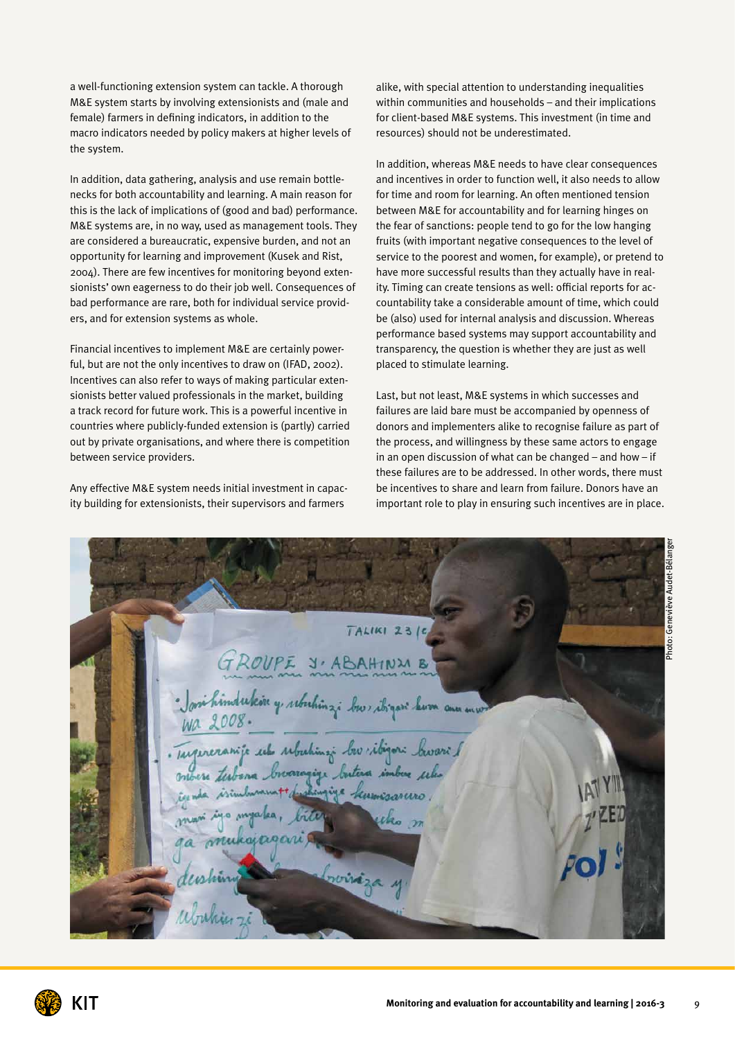a well-functioning extension system can tackle. A thorough M&E system starts by involving extensionists and (male and female) farmers in defining indicators, in addition to the macro indicators needed by policy makers at higher levels of the system.

In addition, data gathering, analysis and use remain bottlenecks for both accountability and learning. A main reason for this is the lack of implications of (good and bad) performance. M&E systems are, in no way, used as management tools. They are considered a bureaucratic, expensive burden, and not an opportunity for learning and improvement (Kusek and Rist, 2004). There are few incentives for monitoring beyond extensionists' own eagerness to do their job well. Consequences of bad performance are rare, both for individual service providers, and for extension systems as whole.

Financial incentives to implement M&E are certainly powerful, but are not the only incentives to draw on (IFAD, 2002). Incentives can also refer to ways of making particular extensionists better valued professionals in the market, building a track record for future work. This is a powerful incentive in countries where publicly-funded extension is (partly) carried out by private organisations, and where there is competition between service providers.

Any effective M&E system needs initial investment in capacity building for extensionists, their supervisors and farmers

alike, with special attention to understanding inequalities within communities and households – and their implications for client-based M&E systems. This investment (in time and resources) should not be underestimated.

In addition, whereas M&E needs to have clear consequences and incentives in order to function well, it also needs to allow for time and room for learning. An often mentioned tension between M&E for accountability and for learning hinges on the fear of sanctions: people tend to go for the low hanging fruits (with important negative consequences to the level of service to the poorest and women, for example), or pretend to have more successful results than they actually have in reality. Timing can create tensions as well: official reports for accountability take a considerable amount of time, which could be (also) used for internal analysis and discussion. Whereas performance based systems may support accountability and transparency, the question is whether they are just as well placed to stimulate learning.

Last, but not least, M&E systems in which successes and failures are laid bare must be accompanied by openness of donors and implementers alike to recognise failure as part of the process, and willingness by these same actors to engage in an open discussion of what can be changed – and how – if these failures are to be addressed. In other words, there must be incentives to share and learn from failure. Donors have an important role to play in ensuring such incentives are in place.

Photo: Geneviève Audet-Bélanger $TALIKI 2316$ GROUPE J'ABAHINME Josi hindukin y, rebehinzi bur ibyan hum ann mw Wa 2008. Targereranije uk ubuhinaj bu ibizori buvari / ere testana broaragige butaa imbox seles jiya kumisanno. myalea, kajagari rviráza y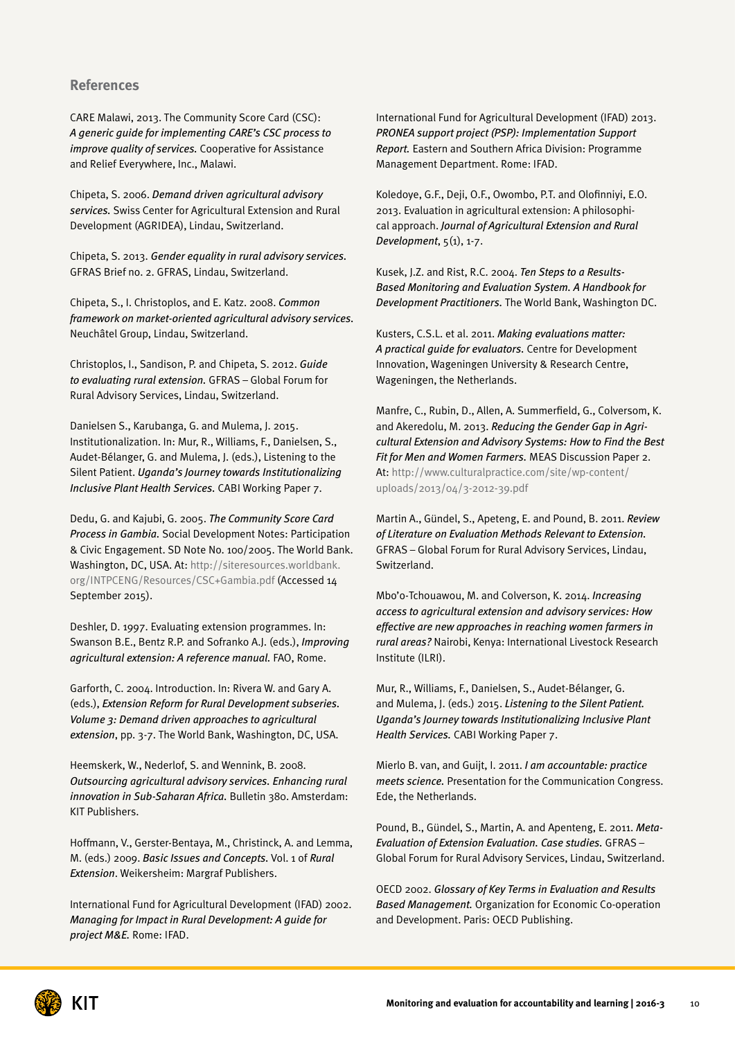#### **References**

CARE Malawi, 2013. The Community Score Card (CSC): *A generic guide for implementing CARE's CSC process to improve quality of services.* Cooperative for Assistance and Relief Everywhere, Inc., Malawi.

Chipeta, S. 2006. *Demand driven agricultural advisory services.* Swiss Center for Agricultural Extension and Rural Development (AGRIDEA), Lindau, Switzerland.

Chipeta, S. 2013. *Gender equality in rural advisory services.* GFRAS Brief no. 2. GFRAS, Lindau, Switzerland.

Chipeta, S., I. Christoplos, and E. Katz. 2008. *Common framework on market-oriented agricultural advisory services.* Neuchâtel Group, Lindau, Switzerland.

Christoplos, I., Sandison, P. and Chipeta, S. 2012. *Guide to evaluating rural extension.* GFRAS – Global Forum for Rural Advisory Services, Lindau, Switzerland.

Danielsen S., Karubanga, G. and Mulema, J. 2015. Institutionalization. In: Mur, R., Williams, F., Danielsen, S., Audet-Bélanger, G. and Mulema, J. (eds.), Listening to the Silent Patient. *Uganda's Journey towards Institutionalizing Inclusive Plant Health Services.* CABI Working Paper 7.

Dedu, G. and Kajubi, G. 2005. *The Community Score Card Process in Gambia.* Social Development Notes: Participation & Civic Engagement. SD Note No. 100/2005. The World Bank. Washington, DC, USA. At: [http://siteresources.worldbank.](http://siteresources.worldbank.org/INTPCENG/Resources/CSC+Gambia.pdf) [org/INTPCENG/Resources/CSC+Gambia.pdf](http://siteresources.worldbank.org/INTPCENG/Resources/CSC+Gambia.pdf) (Accessed 14 September 2015).

Deshler, D. 1997. Evaluating extension programmes. In: Swanson B.E., Bentz R.P. and Sofranko A.J. (eds.), *Improving agricultural extension: A reference manual.* FAO, Rome.

Garforth, C. 2004. Introduction. In: Rivera W. and Gary A. (eds.), *Extension Reform for Rural Development subseries. Volume 3: Demand driven approaches to agricultural extension*, pp. 3-7. The World Bank, Washington, DC, USA.

Heemskerk, W., Nederlof, S. and Wennink, B. 2008. *Outsourcing agricultural advisory services. Enhancing rural innovation in Sub-Saharan Africa.* Bulletin 380. Amsterdam: KIT Publishers.

Hoffmann, V., Gerster-Bentaya, M., Christinck, A. and Lemma, M. (eds.) 2009. *Basic Issues and Concepts.* Vol. 1 of *Rural Extension*. Weikersheim: Margraf Publishers.

International Fund for Agricultural Development (IFAD) 2002. *Managing for Impact in Rural Development: A guide for project M&E.* Rome: IFAD.

International Fund for Agricultural Development (IFAD) 2013. *PRONEA support project (PSP): Implementation Support Report.* Eastern and Southern Africa Division: Programme Management Department. Rome: IFAD.

Koledoye, G.F., Deji, O.F., Owombo, P.T. and Olofinniyi, E.O. 2013. Evaluation in agricultural extension: A philosophical approach. *Journal of Agricultural Extension and Rural Development*, 5(1), 1-7.

Kusek, J.Z. and Rist, R.C. 2004. *Ten Steps to a Results-Based Monitoring and Evaluation System. A Handbook for Development Practitioners.* The World Bank, Washington DC.

Kusters, C.S.L. et al. 2011. *Making evaluations matter: A practical guide for evaluators.* Centre for Development Innovation, Wageningen University & Research Centre, Wageningen, the Netherlands.

Manfre, C., Rubin, D., Allen, A. Summerfield, G., Colversom, K. and Akeredolu, M. 2013. *Reducing the Gender Gap in Agricultural Extension and Advisory Systems: How to Find the Best Fit for Men and Women Farmers.* MEAS Discussion Paper 2. At: [http://www.culturalpractice.com/site/wp-content/](http://www.culturalpractice.com/site/wp-content/uploads/2013/04/3-2012-39.pdf) [uploads/2013/04/3-2012-39.pdf](http://www.culturalpractice.com/site/wp-content/uploads/2013/04/3-2012-39.pdf) 

Martin A., Gündel, S., Apeteng, E. and Pound, B. 2011. *Review of Literature on Evaluation Methods Relevant to Extension.* GFRAS – Global Forum for Rural Advisory Services, Lindau, Switzerland.

Mbo'o-Tchouawou, M. and Colverson, K. 2014. *Increasing access to agricultural extension and advisory services: How effective are new approaches in reaching women farmers in rural areas?* Nairobi, Kenya: International Livestock Research Institute (ILRI).

Mur, R., Williams, F., Danielsen, S., Audet-Bélanger, G. and Mulema, J. (eds.) 2015. *Listening to the Silent Patient. Uganda's Journey towards Institutionalizing Inclusive Plant Health Services.* CABI Working Paper 7.

Mierlo B. van, and Guijt, I. 2011. *I am accountable: practice meets science.* Presentation for the Communication Congress. Ede, the Netherlands.

Pound, B., Gündel, S., Martin, A. and Apenteng, E. 2011. *Meta-Evaluation of Extension Evaluation. Case studies.* GFRAS – Global Forum for Rural Advisory Services, Lindau, Switzerland.

OECD 2002. *Glossary of Key Terms in Evaluation and Results Based Management.* Organization for Economic Co-operation and Development. Paris: OECD Publishing.

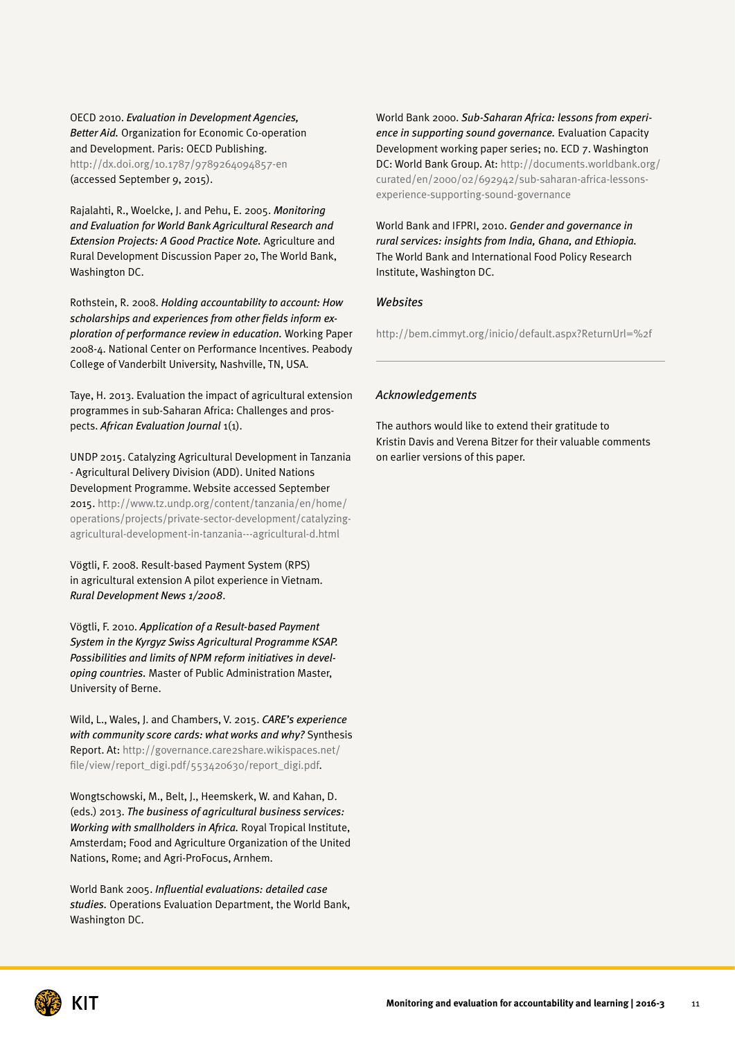OECD 2010. *Evaluation in Development Agencies, Better Aid.* Organization for Economic Co-operation and Development. Paris: OECD Publishing. <http://dx.doi.org/10.1787/9789264094857-en> (accessed September 9, 2015).

Rajalahti, R., Woelcke, J. and Pehu, E. 2005. *Monitoring and Evaluation for World Bank Agricultural Research and Extension Projects: A Good Practice Note.* Agriculture and Rural Development Discussion Paper 20, The World Bank, Washington DC.

Rothstein, R. 2008. *Holding accountability to account: How scholarships and experiences from other fields inform exploration of performance review in education.* Working Paper 2008-4. National Center on Performance Incentives. Peabody College of Vanderbilt University, Nashville, TN, USA.

Taye, H. 2013. Evaluation the impact of agricultural extension programmes in sub-Saharan Africa: Challenges and prospects. *African Evaluation Journal* 1(1).

UNDP 2015. Catalyzing Agricultural Development in Tanzania - Agricultural Delivery Division (ADD). United Nations Development Programme. Website accessed September 2015. [http://www.tz.undp.org/content/tanzania/en/home/](http://www.tz.undp.org/content/tanzania/en/home/operations/projects/private-sector-development/catalyzing-agricultural-development-in-tanzania---agricultural-d.html) [operations/projects/private-sector-development/catalyzing](http://www.tz.undp.org/content/tanzania/en/home/operations/projects/private-sector-development/catalyzing-agricultural-development-in-tanzania---agricultural-d.html)[agricultural-development-in-tanzania---agricultural-d.html](http://www.tz.undp.org/content/tanzania/en/home/operations/projects/private-sector-development/catalyzing-agricultural-development-in-tanzania---agricultural-d.html)

Vögtli, F. 2008. Result-based Payment System (RPS) in agricultural extension A pilot experience in Vietnam. *Rural Development News 1/2008*.

Vögtli, F. 2010. *Application of a Result-based Payment System in the Kyrgyz Swiss Agricultural Programme KSAP. Possibilities and limits of NPM reform initiatives in developing countries.* Master of Public Administration Master, University of Berne.

Wild, L., Wales, J. and Chambers, V. 2015. *CARE's experience with community score cards: what works and why?* Synthesis Report. At: [http://governance.care2share.wikispaces.net/](http://governance.care2share.wikispaces.net/file/view/report_digi.pdf/553420630/report_digi.pdf) [file/view/report\\_digi.pdf/553420630/report\\_digi.pdf.](http://governance.care2share.wikispaces.net/file/view/report_digi.pdf/553420630/report_digi.pdf)

Wongtschowski, M., Belt, J., Heemskerk, W. and Kahan, D. (eds.) 2013. *The business of agricultural business services: Working with smallholders in Africa.* Royal Tropical Institute, Amsterdam; Food and Agriculture Organization of the United Nations, Rome; and Agri-ProFocus, Arnhem.

World Bank 2005. *Influential evaluations: detailed case studies.* Operations Evaluation Department, the World Bank, Washington DC.

World Bank 2000. *Sub-Saharan Africa: lessons from experience in supporting sound governance.* Evaluation Capacity Development working paper series; no. ECD 7. Washington DC: World Bank Group. At: [http://documents.worldbank.org/](http://documents.worldbank.org/curated/en/2000/02/692942/sub-saharan-africa-lessons-experience-supporting-sound-governance) [curated/en/2000/02/692942/sub-saharan-africa-lessons](http://documents.worldbank.org/curated/en/2000/02/692942/sub-saharan-africa-lessons-experience-supporting-sound-governance)[experience-supporting-sound-governance](http://documents.worldbank.org/curated/en/2000/02/692942/sub-saharan-africa-lessons-experience-supporting-sound-governance)

World Bank and IFPRI, 2010. *Gender and governance in rural services: insights from India, Ghana, and Ethiopia.* The World Bank and International Food Policy Research Institute, Washington DC.

#### *Websites*

<http://bem.cimmyt.org/inicio/default.aspx?ReturnUrl=%2f>

#### *Acknowledgements*

The authors would like to extend their gratitude to Kristin Davis and Verena Bitzer for their valuable comments on earlier versions of this paper.